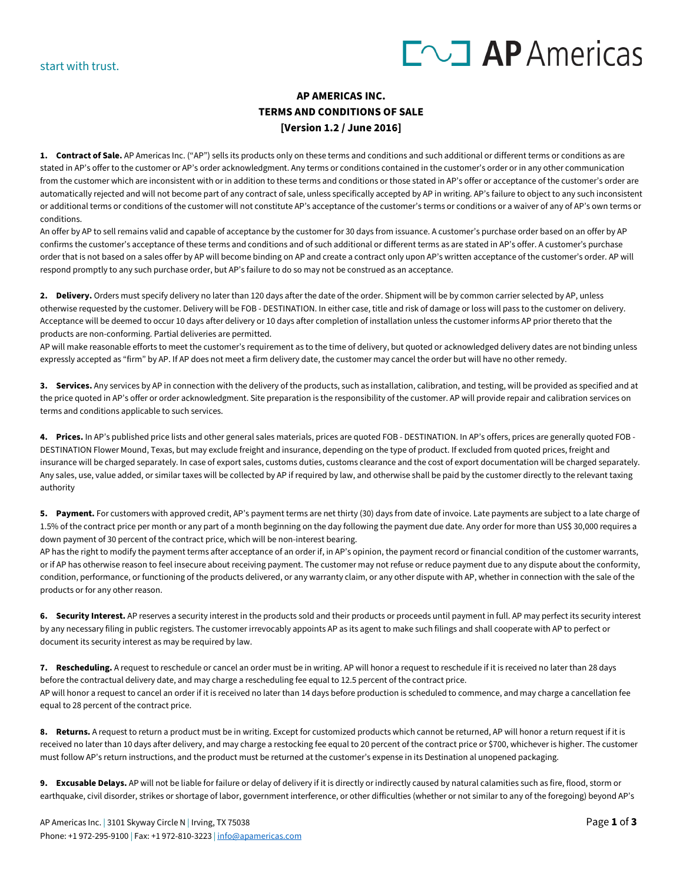# $\Gamma$   $\sim$  **AP** Americas

#### **AP AMERICAS INC. TERMS AND CONDITIONS OF SALE [Version 1.2 / June 2016]**

**1. Contract of Sale.** AP Americas Inc. ("AP") sells its products only on these terms and conditions and such additional or different terms or conditions as are stated in AP's offer to the customer or AP's order acknowledgment. Any terms or conditions contained in the customer's order or in any other communication from the customer which are inconsistent with or in addition to these terms and conditions or those stated in AP's offer or acceptance of the customer's order are automatically rejected and will not become part of any contract of sale, unless specifically accepted by AP in writing. AP's failure to object to any such inconsistent or additional terms or conditions of the customer will not constitute AP's acceptance of the customer's terms or conditions or a waiver of any of AP's own terms or conditions.

An offer by AP to sell remains valid and capable of acceptance by the customer for 30 days from issuance. A customer's purchase order based on an offer by AP confirms the customer's acceptance of these terms and conditions and of such additional or different terms as are stated in AP's offer. A customer's purchase order that is not based on a sales offer by AP will become binding on AP and create a contract only upon AP's written acceptance of the customer's order. AP will respond promptly to any such purchase order, but AP's failure to do so may not be construed as an acceptance.

**2. Delivery.** Orders must specify delivery no later than 120 days after the date of the order. Shipment will be by common carrier selected by AP, unless otherwise requested by the customer. Delivery will be FOB - DESTINATION. In either case, title and risk of damage or loss will pass to the customer on delivery. Acceptance will be deemed to occur 10 days after delivery or 10 days after completion of installation unless the customer informs AP prior thereto that the products are non-conforming. Partial deliveries are permitted.

AP will make reasonable efforts to meet the customer's requirement as to the time of delivery, but quoted or acknowledged delivery dates are not binding unless expressly accepted as "firm" by AP. If AP does not meet a firm delivery date, the customer may cancel the order but will have no other remedy.

**3. Services.** Any services by AP in connection with the delivery of the products, such as installation, calibration, and testing, will be provided as specified and at the price quoted in AP's offer or order acknowledgment. Site preparation is the responsibility of the customer. AP will provide repair and calibration services on terms and conditions applicable to such services.

**4. Prices.** In AP's published price lists and other general sales materials, prices are quoted FOB - DESTINATION. In AP's offers, prices are generally quoted FOB - DESTINATION Flower Mound, Texas, but may exclude freight and insurance, depending on the type of product. If excluded from quoted prices, freight and insurance will be charged separately. In case of export sales, customs duties, customs clearance and the cost of export documentation will be charged separately. Any sales, use, value added, or similar taxes will be collected by AP if required by law, and otherwise shall be paid by the customer directly to the relevant taxing authority

**5. Payment.** For customers with approved credit, AP's payment terms are net thirty (30) days from date of invoice. Late payments are subject to a late charge of 1.5% of the contract price per month or any part of a month beginning on the day following the payment due date. Any order for more than US\$ 30,000 requires a down payment of 30 percent of the contract price, which will be non-interest bearing.

AP has the right to modify the payment terms after acceptance of an order if, in AP's opinion, the payment record or financial condition of the customer warrants, or if AP has otherwise reason to feel insecure about receiving payment. The customer may not refuse or reduce payment due to any dispute about the conformity, condition, performance, or functioning of the products delivered, or any warranty claim, or any other dispute with AP, whether in connection with the sale of the products or for any other reason.

**6. Security Interest.** AP reserves a security interest in the products sold and their products or proceeds until payment in full. AP may perfect its security interest by any necessary filing in public registers. The customer irrevocably appoints AP as its agent to make such filings and shall cooperate with AP to perfect or document its security interest as may be required by law.

**7. Rescheduling.** A request to reschedule or cancel an order must be in writing. AP will honor a request to reschedule if it is received no later than 28 days before the contractual delivery date, and may charge a rescheduling fee equal to 12.5 percent of the contract price. AP will honor a request to cancel an order if it is received no later than 14 days before production is scheduled to commence, and may charge a cancellation fee equal to 28 percent of the contract price.

**8. Returns.** A request to return a product must be in writing. Except for customized products which cannot be returned, AP will honor a return request if it is received no later than 10 days after delivery, and may charge a restocking fee equal to 20 percent of the contract price or \$700, whichever is higher. The customer must follow AP's return instructions, and the product must be returned at the customer's expense in its Destination al unopened packaging.

**9. Excusable Delays.** AP will not be liable for failure or delay of delivery if it is directly or indirectly caused by natural calamities such as fire, flood, storm or earthquake, civil disorder, strikes or shortage of labor, government interference, or other difficulties (whether or not similar to any of the foregoing) beyond AP's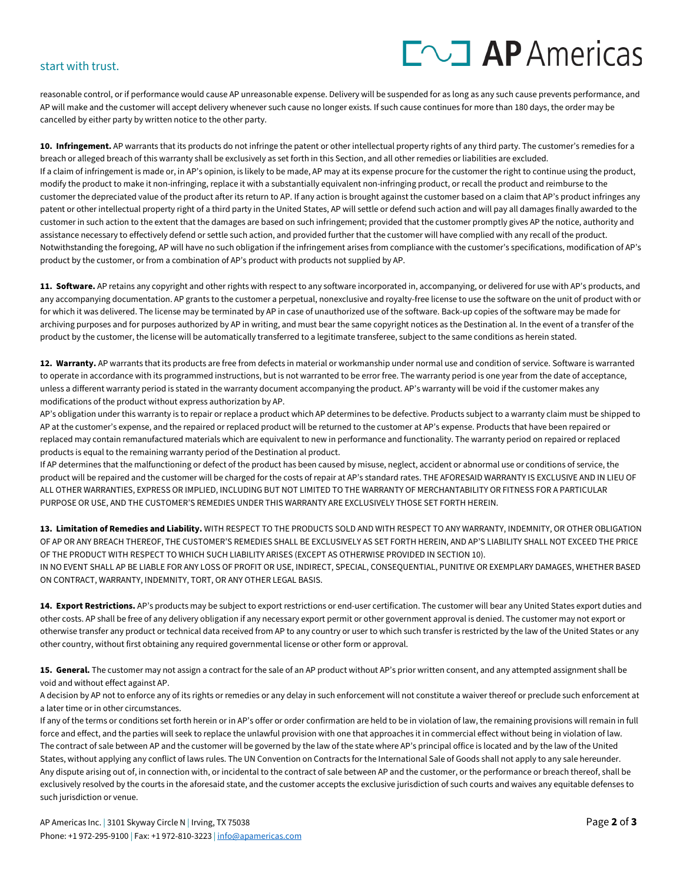## $\Gamma$   $\sim$  **AP** Americas

#### start with trust.

reasonable control, or if performance would cause AP unreasonable expense. Delivery will be suspended for as long as any such cause prevents performance, and AP will make and the customer will accept delivery whenever such cause no longer exists. If such cause continues for more than 180 days, the order may be cancelled by either party by written notice to the other party.

**10. Infringement.** AP warrants that its products do not infringe the patent or other intellectual property rights of any third party. The customer's remedies for a breach or alleged breach of this warranty shall be exclusively as set forth in this Section, and all other remedies or liabilities are excluded. If a claim of infringement is made or, in AP's opinion, is likely to be made, AP may at its expense procure for the customer the right to continue using the product, modify the product to make it non-infringing, replace it with a substantially equivalent non-infringing product, or recall the product and reimburse to the customer the depreciated value of the product after its return to AP. If any action is brought against the customer based on a claim that AP's product infringes any patent or other intellectual property right of a third party in the United States, AP will settle or defend such action and will pay all damages finally awarded to the customer in such action to the extent that the damages are based on such infringement; provided that the customer promptly gives AP the notice, authority and assistance necessary to effectively defend or settle such action, and provided further that the customer will have complied with any recall of the product. Notwithstanding the foregoing, AP will have no such obligation if the infringement arises from compliance with the customer's specifications, modification of AP's product by the customer, or from a combination of AP's product with products not supplied by AP.

**11. Software.** AP retains any copyright and other rights with respect to any software incorporated in, accompanying, or delivered for use with AP's products, and any accompanying documentation. AP grants to the customer a perpetual, nonexclusive and royalty-free license to use the software on the unit of product with or for which it was delivered. The license may be terminated by AP in case of unauthorized use of the software. Back-up copies of the software may be made for archiving purposes and for purposes authorized by AP in writing, and must bear the same copyright notices as the Destination al. In the event of a transfer of the product by the customer, the license will be automatically transferred to a legitimate transferee, subject to the same conditions as herein stated.

**12. Warranty.** AP warrants that its products are free from defects in material or workmanship under normal use and condition of service. Software is warranted to operate in accordance with its programmed instructions, but is not warranted to be error free. The warranty period is one year from the date of acceptance, unless a different warranty period is stated in the warranty document accompanying the product. AP's warranty will be void if the customer makes any modifications of the product without express authorization by AP.

AP's obligation under this warranty is to repair or replace a product which AP determines to be defective. Products subject to a warranty claim must be shipped to AP at the customer's expense, and the repaired or replaced product will be returned to the customer at AP's expense. Products that have been repaired or replaced may contain remanufactured materials which are equivalent to new in performance and functionality. The warranty period on repaired or replaced products is equal to the remaining warranty period of the Destination al product.

If AP determines that the malfunctioning or defect of the product has been caused by misuse, neglect, accident or abnormal use or conditions of service, the product will be repaired and the customer will be charged for the costs of repair at AP's standard rates. THE AFORESAID WARRANTY IS EXCLUSIVE AND IN LIEU OF ALL OTHER WARRANTIES, EXPRESS OR IMPLIED, INCLUDING BUT NOT LIMITED TO THE WARRANTY OF MERCHANTABILITY OR FITNESS FOR A PARTICULAR PURPOSE OR USE, AND THE CUSTOMER'S REMEDIES UNDER THIS WARRANTY ARE EXCLUSIVELY THOSE SET FORTH HEREIN.

**13. Limitation of Remedies and Liability.** WITH RESPECT TO THE PRODUCTS SOLD AND WITH RESPECT TO ANY WARRANTY, INDEMNITY, OR OTHER OBLIGATION OF AP OR ANY BREACH THEREOF, THE CUSTOMER'S REMEDIES SHALL BE EXCLUSIVELY AS SET FORTH HEREIN, AND AP'S LIABILITY SHALL NOT EXCEED THE PRICE OF THE PRODUCT WITH RESPECT TO WHICH SUCH LIABILITY ARISES (EXCEPT AS OTHERWISE PROVIDED IN SECTION 10). IN NO EVENT SHALL AP BE LIABLE FOR ANY LOSS OF PROFIT OR USE, INDIRECT, SPECIAL, CONSEQUENTIAL, PUNITIVE OR EXEMPLARY DAMAGES, WHETHER BASED ON CONTRACT, WARRANTY, INDEMNITY, TORT, OR ANY OTHER LEGAL BASIS.

**14. Export Restrictions.** AP's products may be subject to export restrictions or end-user certification. The customer will bear any United States export duties and other costs. AP shall be free of any delivery obligation if any necessary export permit or other government approval is denied. The customer may not export or otherwise transfer any product or technical data received from AP to any country or user to which such transfer is restricted by the law of the United States or any other country, without first obtaining any required governmental license or other form or approval.

**15. General.** The customer may not assign a contract for the sale of an AP product without AP's prior written consent, and any attempted assignment shall be void and without effect against AP.

A decision by AP not to enforce any of its rights or remedies or any delay in such enforcement will not constitute a waiver thereof or preclude such enforcement at a later time or in other circumstances.

If any of the terms or conditions set forth herein or in AP's offer or order confirmation are held to be in violation of law, the remaining provisions will remain in full force and effect, and the parties will seek to replace the unlawful provision with one that approaches it in commercial effect without being in violation of law. The contract of sale between AP and the customer will be governed by the law of the state where AP's principal office is located and by the law of the United States, without applying any conflict of laws rules. The UN Convention on Contracts for the International Sale of Goods shall not apply to any sale hereunder. Any dispute arising out of, in connection with, or incidental to the contract of sale between AP and the customer, or the performance or breach thereof, shall be exclusively resolved by the courts in the aforesaid state, and the customer accepts the exclusive jurisdiction of such courts and waives any equitable defenses to such jurisdiction or venue.